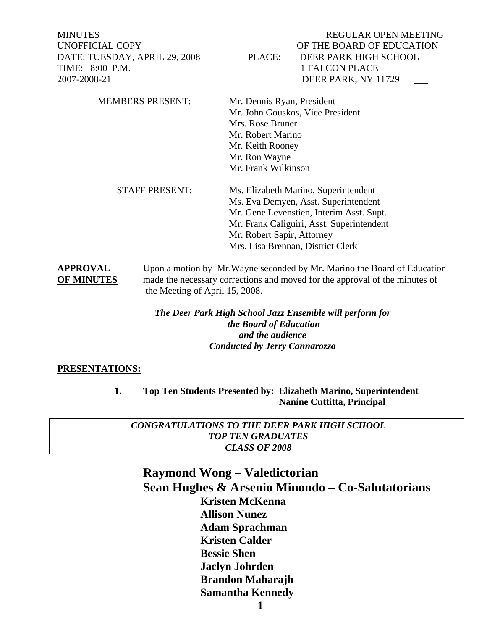MINUTES REGULAR OPEN MEETING TIME: 8:00 P.M. 1 FALCON PLACE

### UNOFFICIAL COPY OF THE BOARD OF EDUCATION DATE: TUESDAY, APRIL 29, 2008 PLACE: DEER PARK HIGH SCHOOL 2007-2008-21 DEER PARK, NY 11729

| <b>MEMBERS PRESENT:</b> | Mr. Dennis Ryan, President<br>Mr. John Gouskos, Vice President<br>Mrs. Rose Bruner<br>Mr. Robert Marino<br>Mr. Keith Rooney<br>Mr. Ron Wayne<br>Mr. Frank Wilkinson                                                                      |
|-------------------------|------------------------------------------------------------------------------------------------------------------------------------------------------------------------------------------------------------------------------------------|
| <b>STAFF PRESENT:</b>   | Ms. Elizabeth Marino, Superintendent<br>Ms. Eva Demyen, Asst. Superintendent<br>Mr. Gene Levenstien, Interim Asst. Supt.<br>Mr. Frank Caliguiri, Asst. Superintendent<br>Mr. Robert Sapir, Attorney<br>Mrs. Lisa Brennan, District Clerk |

**APPROVAL** Upon a motion by Mr.Wayne seconded by Mr. Marino the Board of Education **OF MINUTES** made the necessary corrections and moved for the approval of the minutes of the Meeting of April 15, 2008.

> *The Deer Park High School Jazz Ensemble will perform for the Board of Education and the audience Conducted by Jerry Cannarozzo*

#### **PRESENTATIONS:**

 **1. Top Ten Students Presented by: Elizabeth Marino, Superintendent Nanine Cuttitta, Principal** 

*CONGRATULATIONS TO THE DEER PARK HIGH SCHOOL TOP TEN GRADUATES CLASS OF 2008* 

#### **Raymond Wong – Valedictorian Sean Hughes & Arsenio Minondo – Co-Salutatorians Kristen McKenna Allison Nunez Adam Sprachman Kristen Calder Bessie Shen Jaclyn Johrden Brandon Maharajh Samantha Kennedy**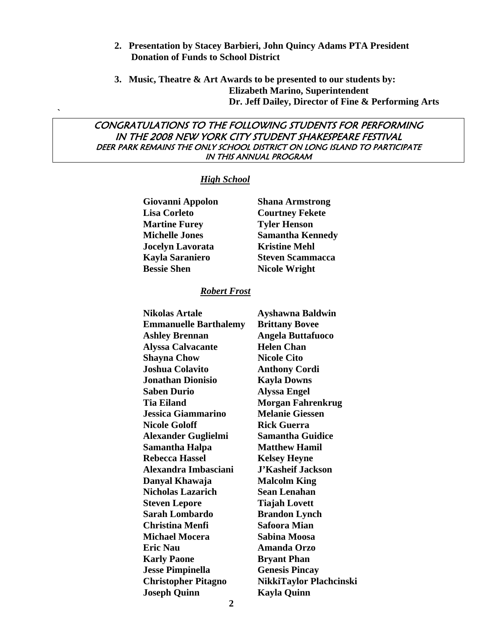- **2. Presentation by Stacey Barbieri, John Quincy Adams PTA President Donation of Funds to School District**
- **3. Music, Theatre & Art Awards to be presented to our students by: Elizabeth Marino, Superintendent Dr. Jeff Dailey, Director of Fine & Performing Arts**

#### CONGRATULATIONS TO THE FOLLOWING STUDENTS FOR PERFORMING IN THE 2008 NEW YORK CITY STUDENT SHAKESPEARE FESTIVAL DEER PARK REMAINS THE ONLY SCHOOL DISTRICT ON LONG ISLAND TO PARTICIPATE IN THIS ANNUAL PROGRAM

#### *High School*

**`** 

| Giovanni Appolon        | <b>Shana Armstrong</b>  |
|-------------------------|-------------------------|
| <b>Lisa Corleto</b>     | <b>Courtney Fekete</b>  |
| <b>Martine Furey</b>    | <b>Tyler Henson</b>     |
| <b>Michelle Jones</b>   | <b>Samantha Kennedy</b> |
| <b>Jocelyn Lavorata</b> | <b>Kristine Mehl</b>    |
| <b>Kayla Saraniero</b>  | <b>Steven Scammacca</b> |
| <b>Bessie Shen</b>      | <b>Nicole Wright</b>    |

#### *Robert Frost*

| <b>Nikolas Artale</b>      | Ayshawna Baldwin                                                                                                                                        |
|----------------------------|---------------------------------------------------------------------------------------------------------------------------------------------------------|
|                            | <b>Brittany Bovee</b>                                                                                                                                   |
|                            | <b>Angela Buttafuoco</b>                                                                                                                                |
|                            | <b>Helen Chan</b>                                                                                                                                       |
|                            | <b>Nicole Cito</b>                                                                                                                                      |
| <b>Joshua Colavito</b>     | <b>Anthony Cordi</b>                                                                                                                                    |
| <b>Jonathan Dionisio</b>   | <b>Kayla Downs</b>                                                                                                                                      |
| <b>Saben Durio</b>         | <b>Alyssa Engel</b>                                                                                                                                     |
| <b>Tia Eiland</b>          | <b>Morgan Fahrenkrug</b>                                                                                                                                |
| <b>Jessica Giammarino</b>  | <b>Melanie Giessen</b>                                                                                                                                  |
| <b>Nicole Goloff</b>       | <b>Rick Guerra</b>                                                                                                                                      |
|                            | <b>Samantha Guidice</b>                                                                                                                                 |
|                            | <b>Matthew Hamil</b>                                                                                                                                    |
| <b>Rebecca Hassel</b>      | <b>Kelsey Heyne</b>                                                                                                                                     |
| Alexandra Imbasciani       | <b>J'Kasheif Jackson</b>                                                                                                                                |
| Danyal Khawaja             | <b>Malcolm King</b>                                                                                                                                     |
| <b>Nicholas Lazarich</b>   | <b>Sean Lenahan</b>                                                                                                                                     |
| <b>Steven Lepore</b>       | <b>Tiajah Lovett</b>                                                                                                                                    |
| <b>Sarah Lombardo</b>      | <b>Brandon Lynch</b>                                                                                                                                    |
| <b>Christina Menfi</b>     | <b>Safoora Mian</b>                                                                                                                                     |
| <b>Michael Mocera</b>      | Sabina Moosa                                                                                                                                            |
| <b>Eric Nau</b>            | <b>Amanda Orzo</b>                                                                                                                                      |
| <b>Karly Paone</b>         | <b>Bryant Phan</b>                                                                                                                                      |
| <b>Jesse Pimpinella</b>    | <b>Genesis Pincay</b>                                                                                                                                   |
| <b>Christopher Pitagno</b> | NikkiTaylor Plachcinski                                                                                                                                 |
| <b>Joseph Quinn</b>        | <b>Kayla Quinn</b>                                                                                                                                      |
|                            | <b>Emmanuelle Barthalemy</b><br><b>Ashley Brennan</b><br><b>Alyssa Calvacante</b><br><b>Shayna Chow</b><br><b>Alexander Guglielmi</b><br>Samantha Halpa |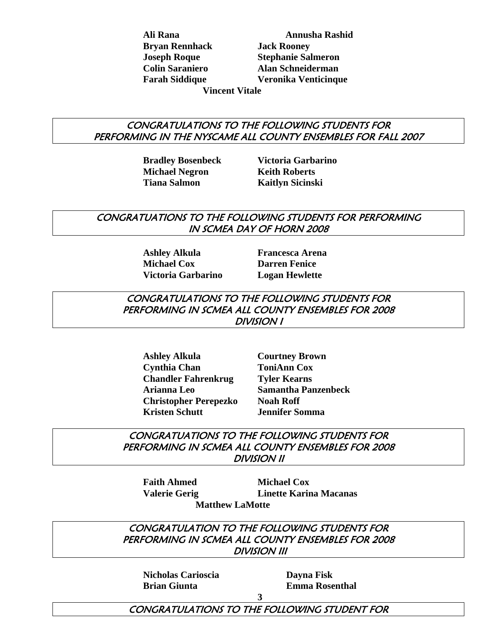**Bryan Rennhack Jack Rooney** 

 **Ali Rana Annusha Rashid Joseph Roque Stephanie Salmeron Colin Saraniero Alan Schneiderman Farah Siddique Veronika Venticinque** 

 **Vincent Vitale** 

#### CONGRATULATIONS TO THE FOLLOWING STUDENTS FOR PERFORMING IN THE NYSCAME ALL COUNTY ENSEMBLES FOR FALL 2007

**Michael Negron Keith Roberts Tiana Salmon Kaitlyn Sicinski** 

 **Bradley Bosenbeck Victoria Garbarino** 

#### CONGRATUATIONS TO THE FOLLOWING STUDENTS FOR PERFORMING IN SCMEA DAY OF HORN 2008

 **Ashley Alkula Francesca Arena Michael Cox Darren Fenice Victoria Garbarino Logan Hewlette** 

#### CONGRATULATIONS TO THE FOLLOWING STUDENTS FOR PERFORMING IN SCMEA ALL COUNTY ENSEMBLES FOR 2008 DIVISION I

 **Ashley Alkula Courtney Brown Cynthia Chan ToniAnn Cox Chandler Fahrenkrug Tyler Kearns Arianna Leo Samantha Panzenbeck Christopher Perepezko Noah Roff Kristen Schutt Jennifer Somma** 

CONGRATUATIONS TO THE FOLLOWING STUDENTS FOR PERFORMING IN SCMEA ALL COUNTY ENSEMBLES FOR 2008 DIVISION II

**Faith Ahmed Michael Cox Valerie Gerig Linette Karina Macanas Matthew LaMotte** 

CONGRATULATION TO THE FOLLOWING STUDENTS FOR PERFORMING IN SCMEA ALL COUNTY ENSEMBLES FOR 2008 DIVISION III

 **Nicholas Carioscia Dayna Fisk** 

 **Brian Giunta Emma Rosenthal** 

 **3**  CONGRATULATIONS TO THE FOLLOWING STUDENT FOR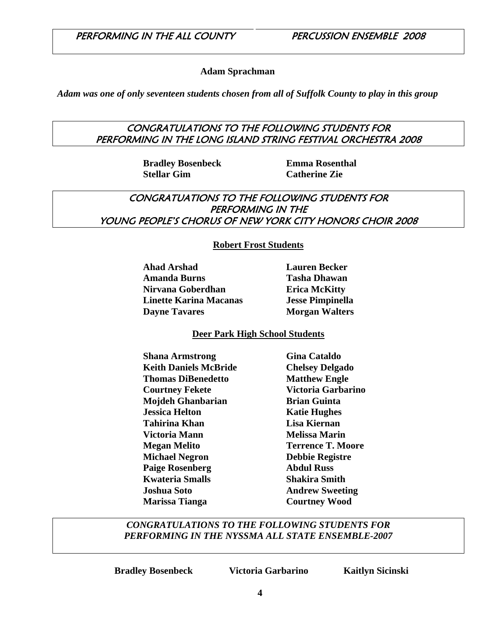#### **Adam Sprachman**

*Adam was one of only seventeen students chosen from all of Suffolk County to play in this group* 

#### CONGRATULATIONS TO THE FOLLOWING STUDENTS FOR PERFORMING IN THE LONG ISLAND STRING FESTIVAL ORCHESTRA 2008

 **Bradley Bosenbeck Emma Rosenthal Stellar Gim Catherine Zie** 

#### CONGRATUATIONS TO THE FOLLOWING STUDENTS FOR PERFORMING IN THE YOUNG PEOPLE'S CHORUS OF NEW YORK CITY HONORS CHOIR 2008

#### **Robert Frost Students**

 **Ahad Arshad Lauren Becker Amanda Burns Tasha Dhawan Nirvana Goberdhan Erica McKitty Linette Karina Macanas Jesse Pimpinella Dayne Tavares Morgan Walters** 

#### **Deer Park High School Students**

**Shana Armstrong Gina Cataldo Keith Daniels McBride Chelsey Delgado Thomas DiBenedetto Matthew Engle Courtney Fekete Victoria Garbarino Mojdeh Ghanbarian Brian Guinta** *<u>Iessica Helton</u>* **Katie Hughes Tahirina Khan Lisa Kiernan Victoria Mann** Melissa Marin **Megan Melito** Terrence T. Moore  **Michael Negron Debbie Registre Paige Rosenberg 4.4 Abdul Russ Kwateria Smalls Shakira Smith Joshua Soto Andrew Sweeting Marissa Tianga Courtney Wood** 

#### *CONGRATULATIONS TO THE FOLLOWING STUDENTS FOR PERFORMING IN THE NYSSMA ALL STATE ENSEMBLE-2007*

 **Bradley Bosenbeck Victoria Garbarino Kaitlyn Sicinski**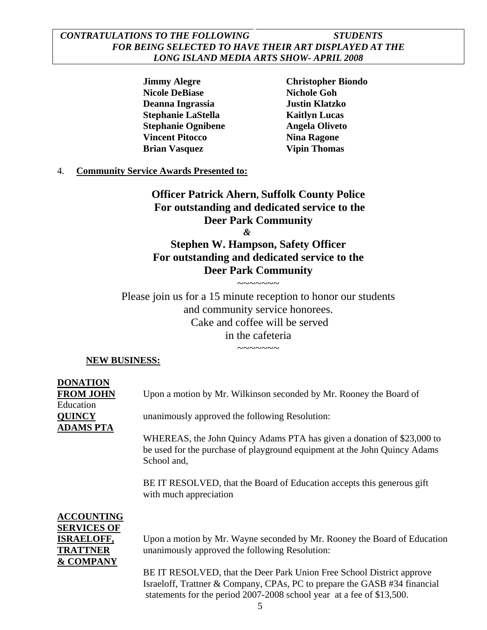#### *CONTRATULATIONS TO THE FOLLOWING STUDENTS FOR BEING SELECTED TO HAVE THEIR ART DISPLAYED AT THE LONG ISLAND MEDIA ARTS SHOW- APRIL 2008*

 **Jimmy Alegre Christopher Biondo Nicole DeBiase Nichole Goh Deanna Ingrassia Justin Klatzko Stephanie LaStella** Kaitlyn Lucas  **Stephanie Ognibene Angela Oliveto Vincent Pitocco** Nina Ragone **Brian Vasquez 61 Vipin Thomas** 

#### 4. **Community Service Awards Presented to:**

**Officer Patrick Ahern, Suffolk County Police For outstanding and dedicated service to the Deer Park Community**  *&* 

**Stephen W. Hampson, Safety Officer For outstanding and dedicated service to the Deer Park Community** 

 $\sim\sim\sim\sim\sim\sim\sim$ 

Please join us for a 15 minute reception to honor our students and community service honorees. Cake and coffee will be served in the cafeteria

 $\sim\sim\sim\sim\sim\sim\sim$ 

#### **NEW BUSINESS:**

**DONATION** Education **ADAMS PTA**

**FROM JOHN** Upon a motion by Mr. Wilkinson seconded by Mr. Rooney the Board of

**QUINCY** unanimously approved the following Resolution:

WHEREAS, the John Quincy Adams PTA has given a donation of \$23,000 to be used for the purchase of playground equipment at the John Quincy Adams School and,

BE IT RESOLVED, that the Board of Education accepts this generous gift with much appreciation

## **ACCOUNTING SERVICES OF & COMPANY**

**ISRAELOFF,** Upon a motion by Mr. Wayne seconded by Mr. Rooney the Board of Education **TRATTNER** unanimously approved the following Resolution:

> BE IT RESOLVED, that the Deer Park Union Free School District approve Israeloff, Trattner & Company, CPAs, PC to prepare the GASB #34 financial statements for the period 2007-2008 school year at a fee of \$13,500.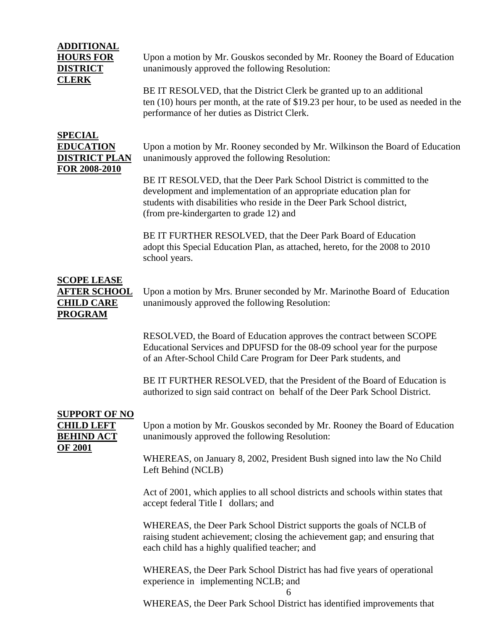#### **ADDITIONAL HOURS FOR** Upon a motion by Mr. Gouskos seconded by Mr. Rooney the Board of Education **DISTRICT** unanimously approved the following Resolution: **CLERK** BE IT RESOLVED, that the District Clerk be granted up to an additional ten (10) hours per month, at the rate of \$19.23 per hour, to be used as needed in the performance of her duties as District Clerk. **SPECIAL EDUCATION** Upon a motion by Mr. Rooney seconded by Mr. Wilkinson the Board of Education **DISTRICT PLAN** unanimously approved the following Resolution: **FOR 2008-2010**

BE IT RESOLVED, that the Deer Park School District is committed to the development and implementation of an appropriate education plan for students with disabilities who reside in the Deer Park School district, (from pre-kindergarten to grade 12) and

BE IT FURTHER RESOLVED, that the Deer Park Board of Education adopt this Special Education Plan, as attached, hereto, for the 2008 to 2010 school years.

## **SCOPE LEASE PROGRAM**

**AFTER SCHOOL** Upon a motion by Mrs. Bruner seconded by Mr. Marinothe Board of Education **CHILD CARE** unanimously approved the following Resolution:

> RESOLVED, the Board of Education approves the contract between SCOPE Educational Services and DPUFSD for the 08-09 school year for the purpose of an After-School Child Care Program for Deer Park students, and

BE IT FURTHER RESOLVED, that the President of the Board of Education is authorized to sign said contract on behalf of the Deer Park School District.

## **SUPPORT OF NO OF 2001**

**CHILD LEFT** Upon a motion by Mr. Gouskos seconded by Mr. Rooney the Board of Education **BEHIND ACT** unanimously approved the following Resolution:

> WHEREAS, on January 8, 2002, President Bush signed into law the No Child Left Behind (NCLB)

> Act of 2001, which applies to all school districts and schools within states that accept federal Title I dollars; and

WHEREAS, the Deer Park School District supports the goals of NCLB of raising student achievement; closing the achievement gap; and ensuring that each child has a highly qualified teacher; and

WHEREAS, the Deer Park School District has had five years of operational experience in implementing NCLB; and

WHEREAS, the Deer Park School District has identified improvements that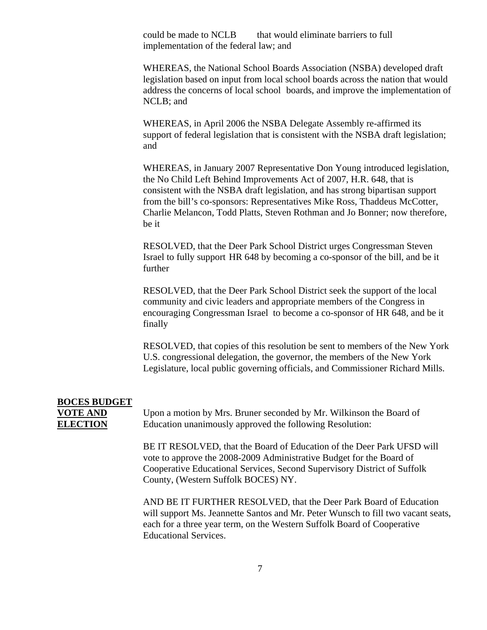could be made to NCLB that would eliminate barriers to full implementation of the federal law; and

WHEREAS, the National School Boards Association (NSBA) developed draft legislation based on input from local school boards across the nation that would address the concerns of local school boards, and improve the implementation of NCLB; and

WHEREAS, in April 2006 the NSBA Delegate Assembly re-affirmed its support of federal legislation that is consistent with the NSBA draft legislation; and

WHEREAS, in January 2007 Representative Don Young introduced legislation, the No Child Left Behind Improvements Act of 2007, H.R. 648, that is consistent with the NSBA draft legislation, and has strong bipartisan support from the bill's co-sponsors: Representatives Mike Ross, Thaddeus McCotter, Charlie Melancon, Todd Platts, Steven Rothman and Jo Bonner; now therefore, be it

RESOLVED, that the Deer Park School District urges Congressman Steven Israel to fully support HR 648 by becoming a co-sponsor of the bill, and be it further

RESOLVED, that the Deer Park School District seek the support of the local community and civic leaders and appropriate members of the Congress in encouraging Congressman Israel to become a co-sponsor of HR 648, and be it finally

RESOLVED, that copies of this resolution be sent to members of the New York U.S. congressional delegation, the governor, the members of the New York Legislature, local public governing officials, and Commissioner Richard Mills.

# **BOCES BUDGET**

**VOTE AND** Upon a motion by Mrs. Bruner seconded by Mr. Wilkinson the Board of **ELECTION** Education unanimously approved the following Resolution:

> BE IT RESOLVED, that the Board of Education of the Deer Park UFSD will vote to approve the 2008-2009 Administrative Budget for the Board of Cooperative Educational Services, Second Supervisory District of Suffolk County, (Western Suffolk BOCES) NY.

AND BE IT FURTHER RESOLVED, that the Deer Park Board of Education will support Ms. Jeannette Santos and Mr. Peter Wunsch to fill two vacant seats, each for a three year term, on the Western Suffolk Board of Cooperative Educational Services.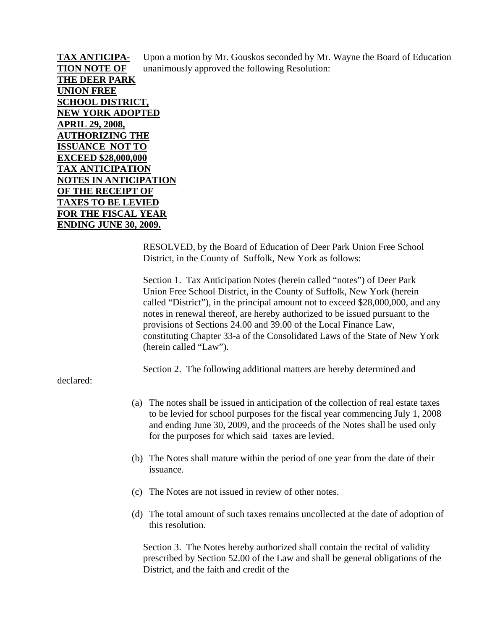**TAX ANTICIPA-** Upon a motion by Mr. Gouskos seconded by Mr. Wayne the Board of Education **TION NOTE OF** unanimously approved the following Resolution: **THE DEER PARK UNION FREE SCHOOL DISTRICT, NEW YORK ADOPTED APRIL 29, 2008, AUTHORIZING THE ISSUANCE NOT TO EXCEED \$28,000,000 TAX ANTICIPATION NOTES IN ANTICIPATION OF THE RECEIPT OF TAXES TO BE LEVIED FOR THE FISCAL YEAR ENDING JUNE 30, 2009.**

> RESOLVED, by the Board of Education of Deer Park Union Free School District, in the County of Suffolk, New York as follows:

Section 1. Tax Anticipation Notes (herein called "notes") of Deer Park Union Free School District, in the County of Suffolk, New York (herein called "District"), in the principal amount not to exceed \$28,000,000, and any notes in renewal thereof, are hereby authorized to be issued pursuant to the provisions of Sections 24.00 and 39.00 of the Local Finance Law, constituting Chapter 33-a of the Consolidated Laws of the State of New York (herein called "Law").

Section 2. The following additional matters are hereby determined and

declared:

- (a) The notes shall be issued in anticipation of the collection of real estate taxes to be levied for school purposes for the fiscal year commencing July 1, 2008 and ending June 30, 2009, and the proceeds of the Notes shall be used only for the purposes for which said taxes are levied.
- (b) The Notes shall mature within the period of one year from the date of their issuance.
- (c) The Notes are not issued in review of other notes.
- (d) The total amount of such taxes remains uncollected at the date of adoption of this resolution.

Section 3. The Notes hereby authorized shall contain the recital of validity prescribed by Section 52.00 of the Law and shall be general obligations of the District, and the faith and credit of the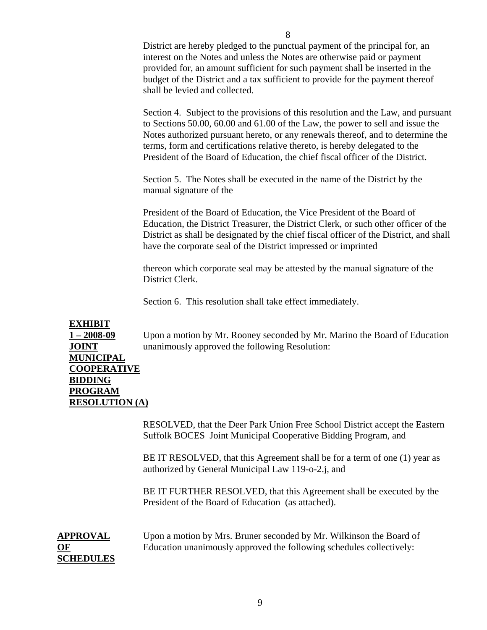District are hereby pledged to the punctual payment of the principal for, an interest on the Notes and unless the Notes are otherwise paid or payment provided for, an amount sufficient for such payment shall be inserted in the budget of the District and a tax sufficient to provide for the payment thereof shall be levied and collected.

Section 4. Subject to the provisions of this resolution and the Law, and pursuant to Sections 50.00, 60.00 and 61.00 of the Law, the power to sell and issue the Notes authorized pursuant hereto, or any renewals thereof, and to determine the terms, form and certifications relative thereto, is hereby delegated to the President of the Board of Education, the chief fiscal officer of the District.

Section 5. The Notes shall be executed in the name of the District by the manual signature of the

President of the Board of Education, the Vice President of the Board of Education, the District Treasurer, the District Clerk, or such other officer of the District as shall be designated by the chief fiscal officer of the District, and shall have the corporate seal of the District impressed or imprinted

thereon which corporate seal may be attested by the manual signature of the District Clerk.

Section 6. This resolution shall take effect immediately.

#### **EXHIBIT**

**1 – 2008-09** Upon a motion by Mr. Rooney seconded by Mr. Marino the Board of Education **JOINT** unanimously approved the following Resolution:

**MUNICIPAL COOPERATIVE BIDDING PROGRAM RESOLUTION (A)**

> RESOLVED, that the Deer Park Union Free School District accept the Eastern Suffolk BOCES Joint Municipal Cooperative Bidding Program, and

BE IT RESOLVED, that this Agreement shall be for a term of one (1) year as authorized by General Municipal Law 119-o-2.j, and

BE IT FURTHER RESOLVED, that this Agreement shall be executed by the President of the Board of Education (as attached).

**SCHEDULES**

**APPROVAL** Upon a motion by Mrs. Bruner seconded by Mr. Wilkinson the Board of **OF** Education unanimously approved the following schedules collectively: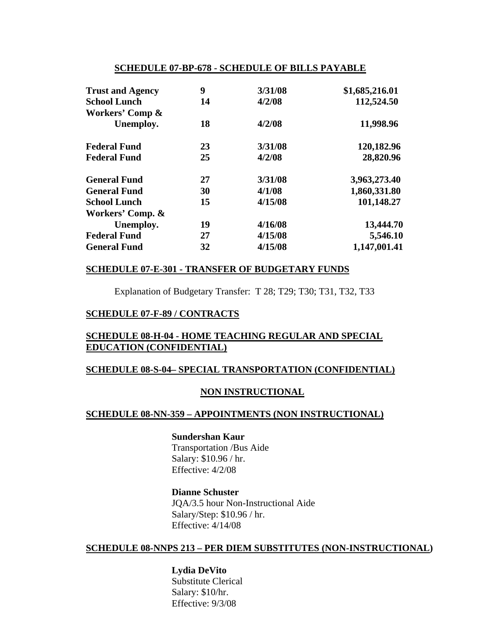#### **SCHEDULE 07-BP-678 - SCHEDULE OF BILLS PAYABLE**

| <b>Trust and Agency</b> | 9  | 3/31/08 | \$1,685,216.01 |
|-------------------------|----|---------|----------------|
| <b>School Lunch</b>     | 14 | 4/2/08  | 112,524.50     |
| Workers' Comp &         |    |         |                |
| Unemploy.               | 18 | 4/2/08  | 11,998.96      |
| <b>Federal Fund</b>     | 23 | 3/31/08 | 120,182.96     |
| <b>Federal Fund</b>     | 25 | 4/2/08  | 28,820.96      |
| <b>General Fund</b>     | 27 | 3/31/08 | 3,963,273.40   |
| <b>General Fund</b>     | 30 | 4/1/08  | 1,860,331.80   |
| <b>School Lunch</b>     | 15 | 4/15/08 | 101,148.27     |
| Workers' Comp. &        |    |         |                |
| Unemploy.               | 19 | 4/16/08 | 13,444.70      |
| <b>Federal Fund</b>     | 27 | 4/15/08 | 5,546.10       |
| <b>General Fund</b>     | 32 | 4/15/08 | 1,147,001.41   |

#### **SCHEDULE 07-E-301 - TRANSFER OF BUDGETARY FUNDS**

Explanation of Budgetary Transfer: T 28; T29; T30; T31, T32, T33

#### **SCHEDULE 07-F-89 / CONTRACTS**

#### **SCHEDULE 08-H-04 - HOME TEACHING REGULAR AND SPECIAL EDUCATION (CONFIDENTIAL)**

#### **SCHEDULE 08-S-04– SPECIAL TRANSPORTATION (CONFIDENTIAL)**

#### **NON INSTRUCTIONAL**

#### **SCHEDULE 08-NN-359 – APPOINTMENTS (NON INSTRUCTIONAL)**

#### **Sundershan Kaur**

Transportation /Bus Aide Salary: \$10.96 / hr. Effective: 4/2/08

#### **Dianne Schuster**

JQA/3.5 hour Non-Instructional Aide Salary/Step: \$10.96 / hr. Effective: 4/14/08

#### **SCHEDULE 08-NNPS 213 – PER DIEM SUBSTITUTES (NON-INSTRUCTIONAL)**

 **Lydia DeVito** Substitute Clerical Salary: \$10/hr. Effective: 9/3/08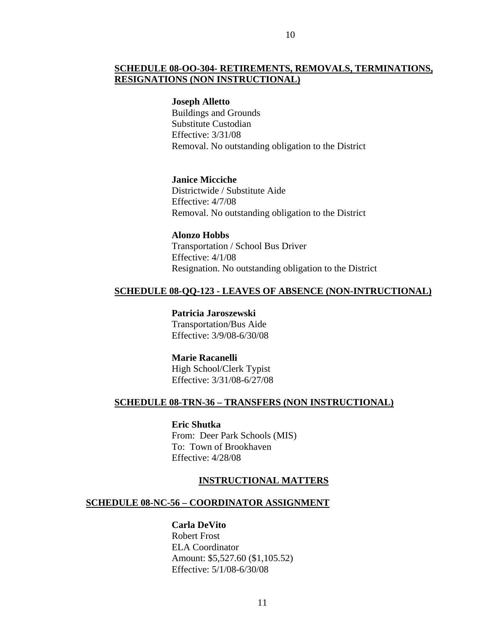#### **SCHEDULE 08-OO-304- RETIREMENTS, REMOVALS, TERMINATIONS, RESIGNATIONS (NON INSTRUCTIONAL)**

#### **Joseph Alletto**

 Buildings and Grounds Substitute Custodian Effective: 3/31/08 Removal. No outstanding obligation to the District

 **Janice Micciche** Districtwide / Substitute Aide Effective: 4/7/08 Removal. No outstanding obligation to the District

**Alonzo Hobbs** 

Transportation / School Bus Driver Effective: 4/1/08 Resignation. No outstanding obligation to the District

#### **SCHEDULE 08-QQ-123 - LEAVES OF ABSENCE (NON-INTRUCTIONAL)**

 **Patricia Jaroszewski** Transportation/Bus Aide Effective: 3/9/08-6/30/08

#### **Marie Racanelli**

 High School/Clerk Typist Effective: 3/31/08-6/27/08

#### **SCHEDULE 08-TRN-36 – TRANSFERS (NON INSTRUCTIONAL)**

 **Eric Shutka**  From: Deer Park Schools (MIS) To: Town of Brookhaven Effective: 4/28/08

#### **INSTRUCTIONAL MATTERS**

#### **SCHEDULE 08-NC-56 – COORDINATOR ASSIGNMENT**

#### **Carla DeVito**

Robert Frost ELA Coordinator Amount: \$5,527.60 (\$1,105.52) Effective: 5/1/08-6/30/08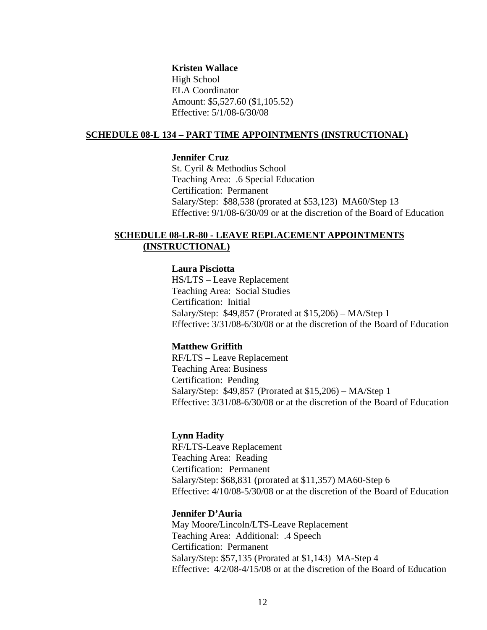#### **Kristen Wallace**

High School ELA Coordinator Amount: \$5,527.60 (\$1,105.52) Effective: 5/1/08-6/30/08

#### **SCHEDULE 08-L 134 – PART TIME APPOINTMENTS (INSTRUCTIONAL)**

#### **Jennifer Cruz**

St. Cyril & Methodius School Teaching Area: .6 Special Education Certification: Permanent Salary/Step: \$88,538 (prorated at \$53,123) MA60/Step 13 Effective: 9/1/08-6/30/09 or at the discretion of the Board of Education

#### **SCHEDULE 08-LR-80 - LEAVE REPLACEMENT APPOINTMENTS (INSTRUCTIONAL)**

#### **Laura Pisciotta**

HS/LTS – Leave Replacement Teaching Area: Social Studies Certification: Initial Salary/Step: \$49,857 (Prorated at \$15,206) – MA/Step 1 Effective: 3/31/08-6/30/08 or at the discretion of the Board of Education

#### **Matthew Griffith**

RF/LTS – Leave Replacement Teaching Area: Business Certification: Pending Salary/Step: \$49,857 (Prorated at \$15,206) – MA/Step 1 Effective: 3/31/08-6/30/08 or at the discretion of the Board of Education

#### **Lynn Hadity**

RF/LTS-Leave Replacement Teaching Area: Reading Certification: Permanent Salary/Step: \$68,831 (prorated at \$11,357) MA60-Step 6 Effective: 4/10/08-5/30/08 or at the discretion of the Board of Education

#### **Jennifer D'Auria**

May Moore/Lincoln/LTS-Leave Replacement Teaching Area: Additional: .4 Speech Certification: Permanent Salary/Step: \$57,135 (Prorated at \$1,143) MA-Step 4 Effective: 4/2/08-4/15/08 or at the discretion of the Board of Education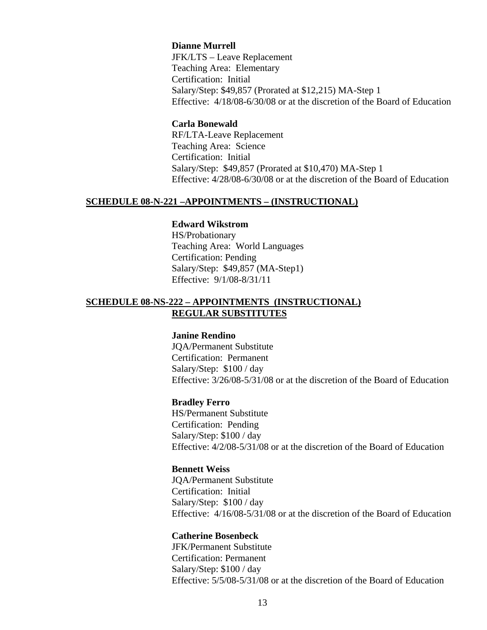#### **Dianne Murrell**

 JFK/LTS – Leave Replacement Teaching Area: Elementary Certification: Initial Salary/Step: \$49,857 (Prorated at \$12,215) MA-Step 1 Effective: 4/18/08-6/30/08 or at the discretion of the Board of Education

#### **Carla Bonewald**

RF/LTA-Leave Replacement Teaching Area: Science Certification: Initial Salary/Step: \$49,857 (Prorated at \$10,470) MA-Step 1 Effective: 4/28/08-6/30/08 or at the discretion of the Board of Education

#### **SCHEDULE 08-N-221 –APPOINTMENTS – (INSTRUCTIONAL)**

#### **Edward Wikstrom**

HS/Probationary Teaching Area: World Languages Certification: Pending Salary/Step: \$49,857 (MA-Step1) Effective: 9/1/08-8/31/11

#### **SCHEDULE 08-NS-222 – APPOINTMENTS (INSTRUCTIONAL) REGULAR SUBSTITUTES**

#### **Janine Rendino**

JQA/Permanent Substitute Certification: Permanent Salary/Step: \$100 / day Effective: 3/26/08-5/31/08 or at the discretion of the Board of Education

#### **Bradley Ferro**

HS/Permanent Substitute Certification: Pending Salary/Step: \$100 / day Effective: 4/2/08-5/31/08 or at the discretion of the Board of Education

#### **Bennett Weiss**

JQA/Permanent Substitute Certification: Initial Salary/Step: \$100 / day Effective: 4/16/08-5/31/08 or at the discretion of the Board of Education

#### **Catherine Bosenbeck**

JFK/Permanent Substitute Certification: Permanent Salary/Step: \$100 / day Effective: 5/5/08-5/31/08 or at the discretion of the Board of Education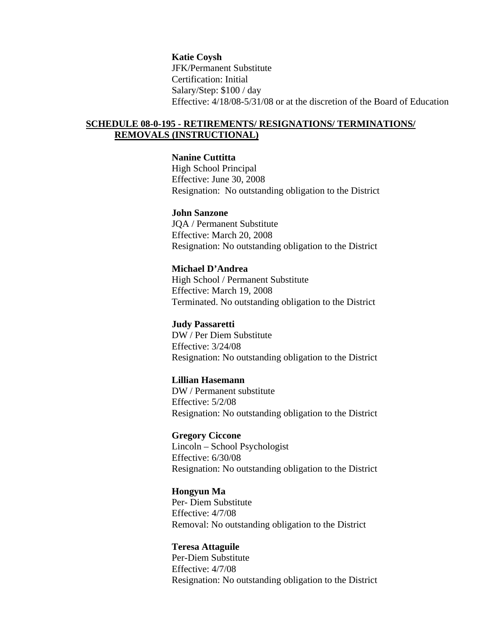**Katie Coysh** JFK/Permanent Substitute Certification: Initial Salary/Step: \$100 / day Effective: 4/18/08-5/31/08 or at the discretion of the Board of Education

#### **SCHEDULE 08-0-195 - RETIREMENTS/ RESIGNATIONS/ TERMINATIONS/ REMOVALS (INSTRUCTIONAL)**

#### **Nanine Cuttitta**

 High School Principal Effective: June 30, 2008 Resignation: No outstanding obligation to the District

#### **John Sanzone**

JQA / Permanent Substitute Effective: March 20, 2008 Resignation: No outstanding obligation to the District

#### **Michael D'Andrea**

High School / Permanent Substitute Effective: March 19, 2008 Terminated. No outstanding obligation to the District

#### **Judy Passaretti**

DW / Per Diem Substitute Effective: 3/24/08 Resignation: No outstanding obligation to the District

#### **Lillian Hasemann**

DW / Permanent substitute Effective: 5/2/08 Resignation: No outstanding obligation to the District

 **Gregory Ciccone** Lincoln – School Psychologist Effective: 6/30/08 Resignation: No outstanding obligation to the District

#### **Hongyun Ma**

Per- Diem Substitute Effective: 4/7/08 Removal: No outstanding obligation to the District

#### **Teresa Attaguile**

Per-Diem Substitute Effective: 4/7/08 Resignation: No outstanding obligation to the District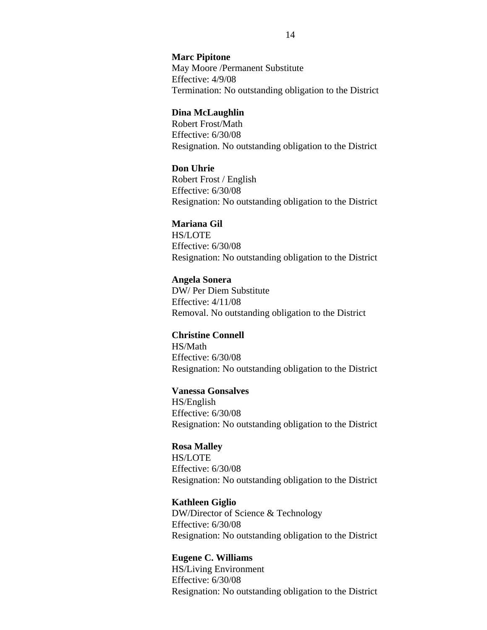#### **Marc Pipitone**

May Moore /Permanent Substitute Effective: 4/9/08 Termination: No outstanding obligation to the District

#### **Dina McLaughlin**

Robert Frost/Math Effective: 6/30/08 Resignation. No outstanding obligation to the District

#### **Don Uhrie**

Robert Frost / English Effective: 6/30/08 Resignation: No outstanding obligation to the District

#### **Mariana Gil**

HS/LOTE Effective: 6/30/08 Resignation: No outstanding obligation to the District

#### **Angela Sonera**

DW/ Per Diem Substitute Effective: 4/11/08 Removal. No outstanding obligation to the District

#### **Christine Connell**

HS/Math Effective: 6/30/08 Resignation: No outstanding obligation to the District

#### **Vanessa Gonsalves**

HS/English Effective: 6/30/08 Resignation: No outstanding obligation to the District

#### **Rosa Malley**

HS/LOTE Effective: 6/30/08 Resignation: No outstanding obligation to the District

#### **Kathleen Giglio**

DW/Director of Science & Technology Effective: 6/30/08 Resignation: No outstanding obligation to the District

#### **Eugene C. Williams**

HS/Living Environment Effective: 6/30/08 Resignation: No outstanding obligation to the District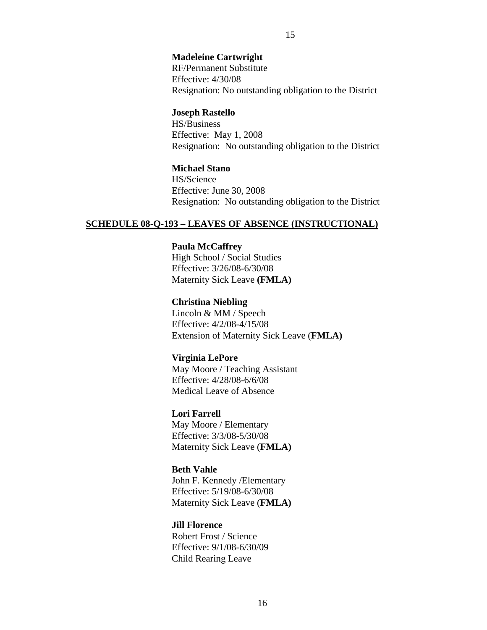#### **Madeleine Cartwright**

RF/Permanent Substitute Effective: 4/30/08 Resignation: No outstanding obligation to the District

#### **Joseph Rastello**

 HS/Business Effective: May 1, 2008 Resignation: No outstanding obligation to the District

#### **Michael Stano**

 HS/Science Effective: June 30, 2008 Resignation: No outstanding obligation to the District

#### **SCHEDULE 08-Q-193 – LEAVES OF ABSENCE (INSTRUCTIONAL)**

#### **Paula McCaffrey**

High School / Social Studies Effective: 3/26/08-6/30/08 Maternity Sick Leave **(FMLA)** 

#### **Christina Niebling**

Lincoln & MM / Speech Effective: 4/2/08-4/15/08 Extension of Maternity Sick Leave (**FMLA)** 

#### **Virginia LePore**

 May Moore / Teaching Assistant Effective: 4/28/08-6/6/08 Medical Leave of Absence

#### **Lori Farrell**

May Moore / Elementary Effective: 3/3/08-5/30/08 Maternity Sick Leave (**FMLA)** 

#### **Beth Vahle**

John F. Kennedy /Elementary Effective: 5/19/08-6/30/08 Maternity Sick Leave (**FMLA)**

#### **Jill Florence**

Robert Frost / Science Effective: 9/1/08-6/30/09 Child Rearing Leave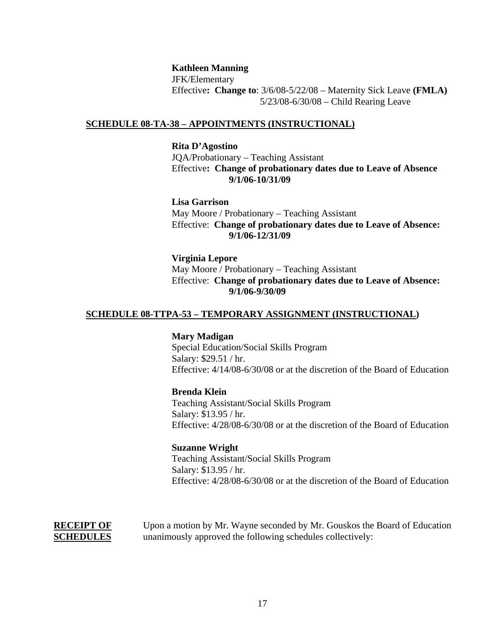#### **Kathleen Manning**

JFK/Elementary Effective**: Change to**: 3/6/08-5/22/08 – Maternity Sick Leave **(FMLA)**  5/23/08-6/30/08 – Child Rearing Leave

#### **SCHEDULE 08-TA-38 – APPOINTMENTS (INSTRUCTIONAL)**

#### **Rita D'Agostino**

 JQA/Probationary – Teaching Assistant Effective**: Change of probationary dates due to Leave of Absence 9/1/06-10/31/09** 

 **Lisa Garrison** May Moore / Probationary – Teaching Assistant Effective: **Change of probationary dates due to Leave of Absence: 9/1/06-12/31/09** 

 **Virginia Lepore** May Moore / Probationary – Teaching Assistant Effective: **Change of probationary dates due to Leave of Absence: 9/1/06-9/30/09** 

#### **SCHEDULE 08-TTPA-53 – TEMPORARY ASSIGNMENT (INSTRUCTIONAL)**

#### **Mary Madigan**

Special Education/Social Skills Program Salary: \$29.51 / hr. Effective: 4/14/08-6/30/08 or at the discretion of the Board of Education

#### **Brenda Klein**

Teaching Assistant/Social Skills Program Salary: \$13.95 / hr. Effective: 4/28/08-6/30/08 or at the discretion of the Board of Education

 **Suzanne Wright** Teaching Assistant/Social Skills Program Salary: \$13.95 / hr. Effective: 4/28/08-6/30/08 or at the discretion of the Board of Education

**RECEIPT OF** Upon a motion by Mr. Wayne seconded by Mr. Gouskos the Board of Education **SCHEDULES** unanimously approved the following schedules collectively: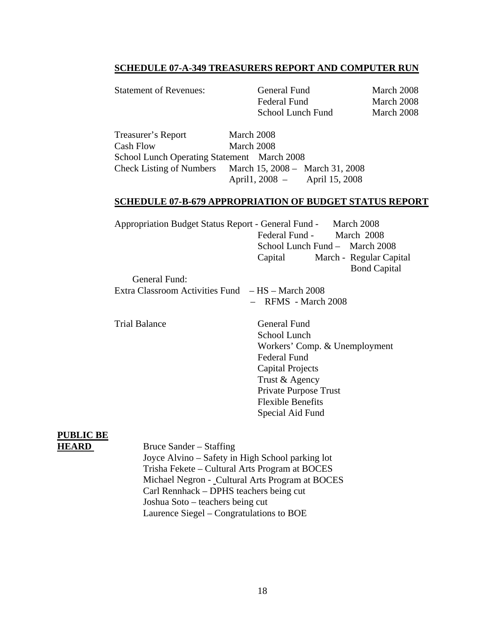#### **SCHEDULE 07-A-349 TREASURERS REPORT AND COMPUTER RUN**

| <b>Statement of Revenues:</b>   | General Fund<br>Federal Fund<br>School Lunch Fund | March 2008<br>March 2008<br>March 2008 |
|---------------------------------|---------------------------------------------------|----------------------------------------|
| Treasurer's Report<br>Cash Flow | March 2008<br>March 2008                          |                                        |

School Lunch Operating Statement March 2008 Check Listing of Numbers March 15, 2008 – March 31, 2008 April1, 2008 – April 15, 2008

#### **SCHEDULE 07-B-679 APPROPRIATION OF BUDGET STATUS REPORT**

| Appropriation Budget Status Report - General Fund - March 2008 |                                |  |                         |
|----------------------------------------------------------------|--------------------------------|--|-------------------------|
|                                                                | Federal Fund - March 2008      |  |                         |
|                                                                | School Lunch Fund - March 2008 |  |                         |
|                                                                | Capital                        |  | March - Regular Capital |
|                                                                |                                |  | <b>Bond Capital</b>     |
| General Fund:                                                  |                                |  |                         |
| Extra Classroom Activities Fund – HS – March 2008              |                                |  |                         |
|                                                                | $-$ RFMS - March 2008          |  |                         |

Trial Balance General Fund

 School Lunch Workers' Comp. & Unemployment Federal Fund Capital Projects Trust & Agency Private Purpose Trust Flexible Benefits Special Aid Fund

## **PUBLIC BE**

**HEARD** Bruce Sander – Staffing Joyce Alvino – Safety in High School parking lot Trisha Fekete – Cultural Arts Program at BOCES Michael Negron - Cultural Arts Program at BOCES Carl Rennhack – DPHS teachers being cut Joshua Soto – teachers being cut Laurence Siegel – Congratulations to BOE